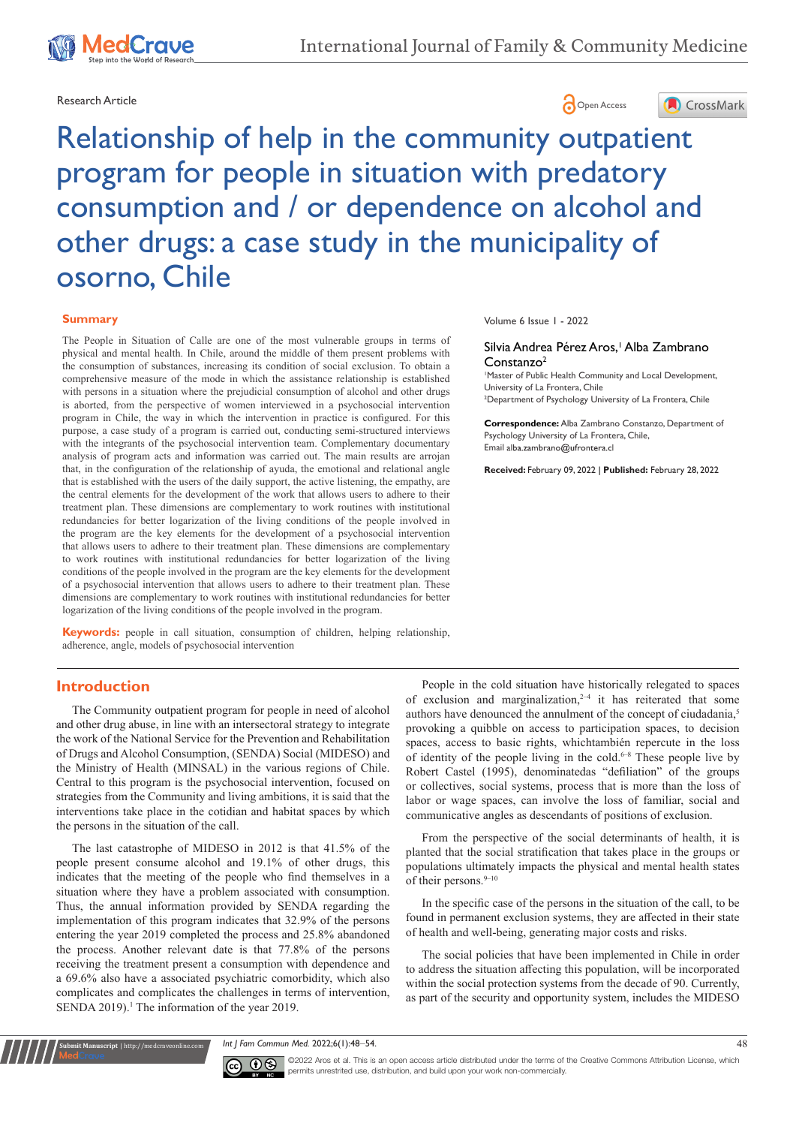

# Research Article **Contract Article** Open Access **Contract Article**



Relationship of help in the community outpatient program for people in situation with predatory consumption and / or dependence on alcohol and other drugs: a case study in the municipality of osorno, Chile

#### **Summary**

The People in Situation of Calle are one of the most vulnerable groups in terms of physical and mental health. In Chile, around the middle of them present problems with the consumption of substances, increasing its condition of social exclusion. To obtain a comprehensive measure of the mode in which the assistance relationship is established with persons in a situation where the prejudicial consumption of alcohol and other drugs is aborted, from the perspective of women interviewed in a psychosocial intervention program in Chile, the way in which the intervention in practice is configured. For this purpose, a case study of a program is carried out, conducting semi-structured interviews with the integrants of the psychosocial intervention team. Complementary documentary analysis of program acts and information was carried out. The main results are arrojan that, in the configuration of the relationship of ayuda, the emotional and relational angle that is established with the users of the daily support, the active listening, the empathy, are the central elements for the development of the work that allows users to adhere to their treatment plan. These dimensions are complementary to work routines with institutional redundancies for better logarization of the living conditions of the people involved in the program are the key elements for the development of a psychosocial intervention that allows users to adhere to their treatment plan. These dimensions are complementary to work routines with institutional redundancies for better logarization of the living conditions of the people involved in the program are the key elements for the development of a psychosocial intervention that allows users to adhere to their treatment plan. These dimensions are complementary to work routines with institutional redundancies for better logarization of the living conditions of the people involved in the program.

**Keywords:** people in call situation, consumption of children, helping relationship, adherence, angle, models of psychosocial intervention

#### Volume 6 Issue 1 - 2022

#### Silvia Andrea Pérez Aros,' Alba Zambrano Constanzo<sup>2</sup>

1 Master of Public Health Community and Local Development, University of La Frontera, Chile

2 Department of Psychology University of La Frontera, Chile

**Correspondence:** Alba Zambrano Constanzo, Department of Psychology University of La Frontera, Chile, Email alba.zambrano@ufrontera.cl

**Received:** February 09, 2022 | **Published:** February 28, 2022

## **Introduction**

The Community outpatient program for people in need of alcohol and other drug abuse, in line with an intersectoral strategy to integrate the work of the National Service for the Prevention and Rehabilitation of Drugs and Alcohol Consumption, (SENDA) Social (MIDESO) and the Ministry of Health (MINSAL) in the various regions of Chile. Central to this program is the psychosocial intervention, focused on strategies from the Community and living ambitions, it is said that the interventions take place in the cotidian and habitat spaces by which the persons in the situation of the call.

The last catastrophe of MIDESO in 2012 is that 41.5% of the people present consume alcohol and 19.1% of other drugs, this indicates that the meeting of the people who find themselves in a situation where they have a problem associated with consumption. Thus, the annual information provided by SENDA regarding the implementation of this program indicates that 32.9% of the persons entering the year 2019 completed the process and 25.8% abandoned the process. Another relevant date is that 77.8% of the persons receiving the treatment present a consumption with dependence and a 69.6% also have a associated psychiatric comorbidity, which also complicates and complicates the challenges in terms of intervention, SENDA 2019).<sup>1</sup> The information of the year 2019.

People in the cold situation have historically relegated to spaces of exclusion and marginalization, $2-4$  it has reiterated that some authors have denounced the annulment of the concept of ciudadania,<sup>5</sup> provoking a quibble on access to participation spaces, to decision spaces, access to basic rights, whichtambién repercute in the loss of identity of the people living in the cold.<sup>6-8</sup> These people live by Robert Castel (1995), denominatedas "defiliation" of the groups or collectives, social systems, process that is more than the loss of labor or wage spaces, can involve the loss of familiar, social and communicative angles as descendants of positions of exclusion.

From the perspective of the social determinants of health, it is planted that the social stratification that takes place in the groups or populations ultimately impacts the physical and mental health states of their persons.<sup>9-10</sup>

In the specific case of the persons in the situation of the call, to be found in permanent exclusion systems, they are affected in their state of health and well-being, generating major costs and risks.

The social policies that have been implemented in Chile in order to address the situation affecting this population, will be incorporated within the social protection systems from the decade of 90. Currently, as part of the security and opportunity system, includes the MIDESO

*Int J Fam Commun Med.* 2022;6(1):48‒54. 48



**it Manuscript** | http://medcraveonline.com

 $\overline{\mathbf{c}}$   $\overline{\mathbf{c}}$   $\overline{\mathbf{c}}$   $\overline{\mathbf{c}}$   $\overline{\mathbf{c}}$  aros et al. This is an open access article distributed under the terms of the Creative Commons Attribution License, which permits unrestrited use, distribution, and build upon your work non-commercially.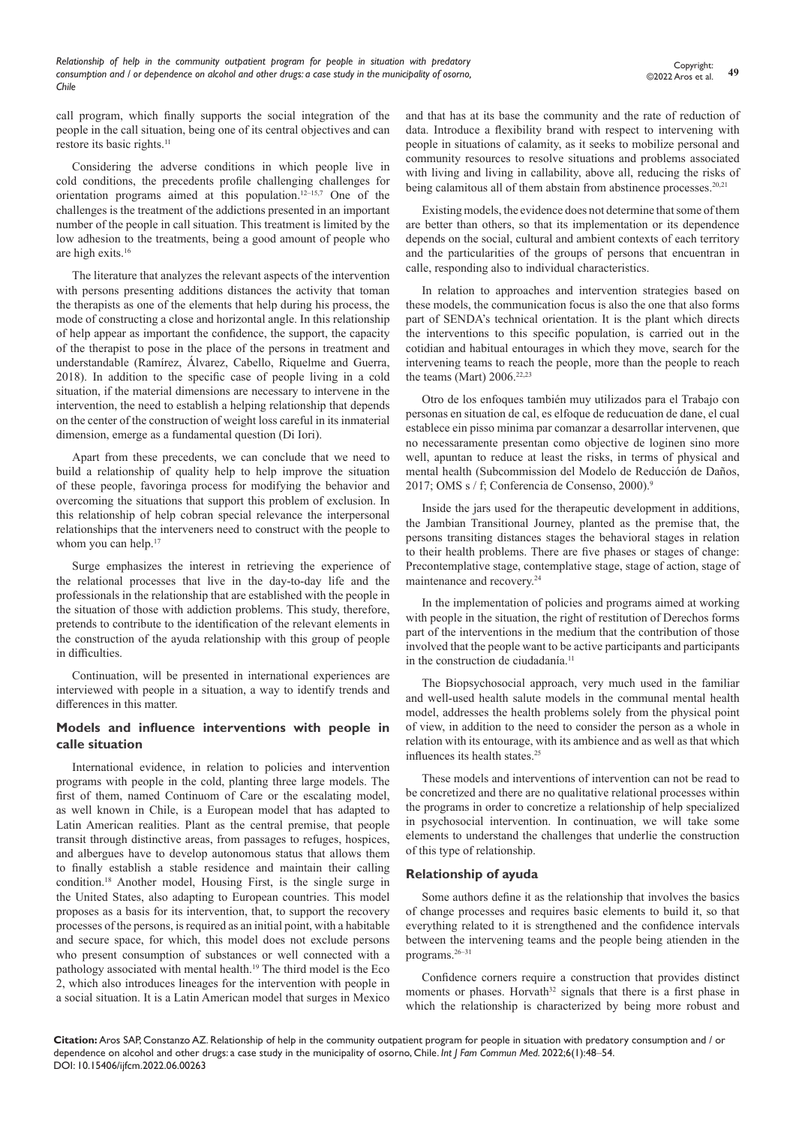call program, which finally supports the social integration of the people in the call situation, being one of its central objectives and can restore its basic rights.<sup>11</sup>

Considering the adverse conditions in which people live in cold conditions, the precedents profile challenging challenges for orientation programs aimed at this population.12–15,7 One of the challenges is the treatment of the addictions presented in an important number of the people in call situation. This treatment is limited by the low adhesion to the treatments, being a good amount of people who are high exits.16

The literature that analyzes the relevant aspects of the intervention with persons presenting additions distances the activity that toman the therapists as one of the elements that help during his process, the mode of constructing a close and horizontal angle. In this relationship of help appear as important the confidence, the support, the capacity of the therapist to pose in the place of the persons in treatment and understandable (Ramírez, Álvarez, Cabello, Riquelme and Guerra, 2018). In addition to the specific case of people living in a cold situation, if the material dimensions are necessary to intervene in the intervention, the need to establish a helping relationship that depends on the center of the construction of weight loss careful in its inmaterial dimension, emerge as a fundamental question (Di Iori).

Apart from these precedents, we can conclude that we need to build a relationship of quality help to help improve the situation of these people, favoringa process for modifying the behavior and overcoming the situations that support this problem of exclusion. In this relationship of help cobran special relevance the interpersonal relationships that the interveners need to construct with the people to whom you can help.<sup>17</sup>

Surge emphasizes the interest in retrieving the experience of the relational processes that live in the day-to-day life and the professionals in the relationship that are established with the people in the situation of those with addiction problems. This study, therefore, pretends to contribute to the identification of the relevant elements in the construction of the ayuda relationship with this group of people in difficulties.

Continuation, will be presented in international experiences are interviewed with people in a situation, a way to identify trends and differences in this matter.

## **Models and influence interventions with people in calle situation**

International evidence, in relation to policies and intervention programs with people in the cold, planting three large models. The first of them, named Continuom of Care or the escalating model, as well known in Chile, is a European model that has adapted to Latin American realities. Plant as the central premise, that people transit through distinctive areas, from passages to refuges, hospices, and albergues have to develop autonomous status that allows them to finally establish a stable residence and maintain their calling condition.18 Another model, Housing First, is the single surge in the United States, also adapting to European countries. This model proposes as a basis for its intervention, that, to support the recovery processes of the persons, is required as an initial point, with a habitable and secure space, for which, this model does not exclude persons who present consumption of substances or well connected with a pathology associated with mental health.<sup>19</sup> The third model is the Eco 2, which also introduces lineages for the intervention with people in a social situation. It is a Latin American model that surges in Mexico and that has at its base the community and the rate of reduction of data. Introduce a flexibility brand with respect to intervening with people in situations of calamity, as it seeks to mobilize personal and community resources to resolve situations and problems associated with living and living in callability, above all, reducing the risks of being calamitous all of them abstain from abstinence processes.<sup>20,21</sup>

Existing models, the evidence does not determine that some of them are better than others, so that its implementation or its dependence depends on the social, cultural and ambient contexts of each territory and the particularities of the groups of persons that encuentran in calle, responding also to individual characteristics.

In relation to approaches and intervention strategies based on these models, the communication focus is also the one that also forms part of SENDA's technical orientation. It is the plant which directs the interventions to this specific population, is carried out in the cotidian and habitual entourages in which they move, search for the intervening teams to reach the people, more than the people to reach the teams (Mart)  $2006.<sup>22,23</sup>$ 

Otro de los enfoques también muy utilizados para el Trabajo con personas en situation de cal, es elfoque de reducuation de dane, el cual establece ein pisso minima par comanzar a desarrollar intervenen, que no necessaramente presentan como objective de loginen sino more well, apuntan to reduce at least the risks, in terms of physical and mental health (Subcommission del Modelo de Reducción de Daños, 2017; OMS s / f; Conferencia de Consenso, 2000).9

Inside the jars used for the therapeutic development in additions, the Jambian Transitional Journey, planted as the premise that, the persons transiting distances stages the behavioral stages in relation to their health problems. There are five phases or stages of change: Precontemplative stage, contemplative stage, stage of action, stage of maintenance and recovery.24

In the implementation of policies and programs aimed at working with people in the situation, the right of restitution of Derechos forms part of the interventions in the medium that the contribution of those involved that the people want to be active participants and participants in the construction de ciudadanía.<sup>11</sup>

The Biopsychosocial approach, very much used in the familiar and well-used health salute models in the communal mental health model, addresses the health problems solely from the physical point of view, in addition to the need to consider the person as a whole in relation with its entourage, with its ambience and as well as that which influences its health states.<sup>25</sup>

These models and interventions of intervention can not be read to be concretized and there are no qualitative relational processes within the programs in order to concretize a relationship of help specialized in psychosocial intervention. In continuation, we will take some elements to understand the challenges that underlie the construction of this type of relationship.

### **Relationship of ayuda**

Some authors define it as the relationship that involves the basics of change processes and requires basic elements to build it, so that everything related to it is strengthened and the confidence intervals between the intervening teams and the people being atienden in the programs.26–31

Confidence corners require a construction that provides distinct moments or phases. Horvath<sup>32</sup> signals that there is a first phase in which the relationship is characterized by being more robust and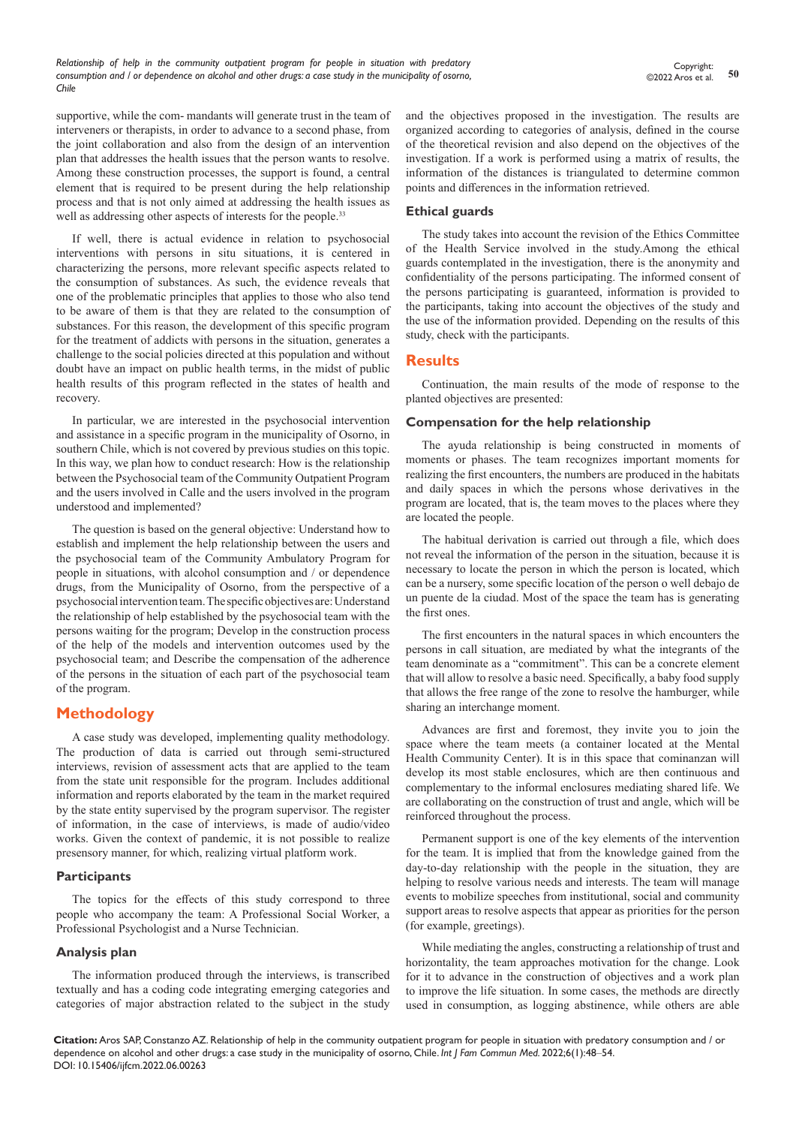*Relationship of help in the community outpatient program for people in situation with predatory consumption and / or dependence on alcohol and other drugs: a case study in the municipality of osorno, Chile*

supportive, while the com- mandants will generate trust in the team of interveners or therapists, in order to advance to a second phase, from the joint collaboration and also from the design of an intervention plan that addresses the health issues that the person wants to resolve. Among these construction processes, the support is found, a central element that is required to be present during the help relationship process and that is not only aimed at addressing the health issues as well as addressing other aspects of interests for the people.<sup>33</sup>

If well, there is actual evidence in relation to psychosocial interventions with persons in situ situations, it is centered in characterizing the persons, more relevant specific aspects related to the consumption of substances. As such, the evidence reveals that one of the problematic principles that applies to those who also tend to be aware of them is that they are related to the consumption of substances. For this reason, the development of this specific program for the treatment of addicts with persons in the situation, generates a challenge to the social policies directed at this population and without doubt have an impact on public health terms, in the midst of public health results of this program reflected in the states of health and recovery.

In particular, we are interested in the psychosocial intervention and assistance in a specific program in the municipality of Osorno, in southern Chile, which is not covered by previous studies on this topic. In this way, we plan how to conduct research: How is the relationship between the Psychosocial team of the Community Outpatient Program and the users involved in Calle and the users involved in the program understood and implemented?

The question is based on the general objective: Understand how to establish and implement the help relationship between the users and the psychosocial team of the Community Ambulatory Program for people in situations, with alcohol consumption and / or dependence drugs, from the Municipality of Osorno, from the perspective of a psychosocial intervention team. The specific objectives are: Understand the relationship of help established by the psychosocial team with the persons waiting for the program; Develop in the construction process of the help of the models and intervention outcomes used by the psychosocial team; and Describe the compensation of the adherence of the persons in the situation of each part of the psychosocial team of the program.

# **Methodology**

A case study was developed, implementing quality methodology. The production of data is carried out through semi-structured interviews, revision of assessment acts that are applied to the team from the state unit responsible for the program. Includes additional information and reports elaborated by the team in the market required by the state entity supervised by the program supervisor. The register of information, in the case of interviews, is made of audio/video works. Given the context of pandemic, it is not possible to realize presensory manner, for which, realizing virtual platform work.

### **Participants**

The topics for the effects of this study correspond to three people who accompany the team: A Professional Social Worker, a Professional Psychologist and a Nurse Technician.

### **Analysis plan**

The information produced through the interviews, is transcribed textually and has a coding code integrating emerging categories and categories of major abstraction related to the subject in the study

and the objectives proposed in the investigation. The results are organized according to categories of analysis, defined in the course of the theoretical revision and also depend on the objectives of the investigation. If a work is performed using a matrix of results, the information of the distances is triangulated to determine common points and differences in the information retrieved.

### **Ethical guards**

The study takes into account the revision of the Ethics Committee of the Health Service involved in the study.Among the ethical guards contemplated in the investigation, there is the anonymity and confidentiality of the persons participating. The informed consent of the persons participating is guaranteed, information is provided to the participants, taking into account the objectives of the study and the use of the information provided. Depending on the results of this study, check with the participants.

## **Results**

Continuation, the main results of the mode of response to the planted objectives are presented:

#### **Compensation for the help relationship**

The ayuda relationship is being constructed in moments of moments or phases. The team recognizes important moments for realizing the first encounters, the numbers are produced in the habitats and daily spaces in which the persons whose derivatives in the program are located, that is, the team moves to the places where they are located the people.

The habitual derivation is carried out through a file, which does not reveal the information of the person in the situation, because it is necessary to locate the person in which the person is located, which can be a nursery, some specific location of the person o well debajo de un puente de la ciudad. Most of the space the team has is generating the first ones.

The first encounters in the natural spaces in which encounters the persons in call situation, are mediated by what the integrants of the team denominate as a "commitment". This can be a concrete element that will allow to resolve a basic need. Specifically, a baby food supply that allows the free range of the zone to resolve the hamburger, while sharing an interchange moment.

Advances are first and foremost, they invite you to join the space where the team meets (a container located at the Mental Health Community Center). It is in this space that cominanzan will develop its most stable enclosures, which are then continuous and complementary to the informal enclosures mediating shared life. We are collaborating on the construction of trust and angle, which will be reinforced throughout the process.

Permanent support is one of the key elements of the intervention for the team. It is implied that from the knowledge gained from the day-to-day relationship with the people in the situation, they are helping to resolve various needs and interests. The team will manage events to mobilize speeches from institutional, social and community support areas to resolve aspects that appear as priorities for the person (for example, greetings).

While mediating the angles, constructing a relationship of trust and horizontality, the team approaches motivation for the change. Look for it to advance in the construction of objectives and a work plan to improve the life situation. In some cases, the methods are directly used in consumption, as logging abstinence, while others are able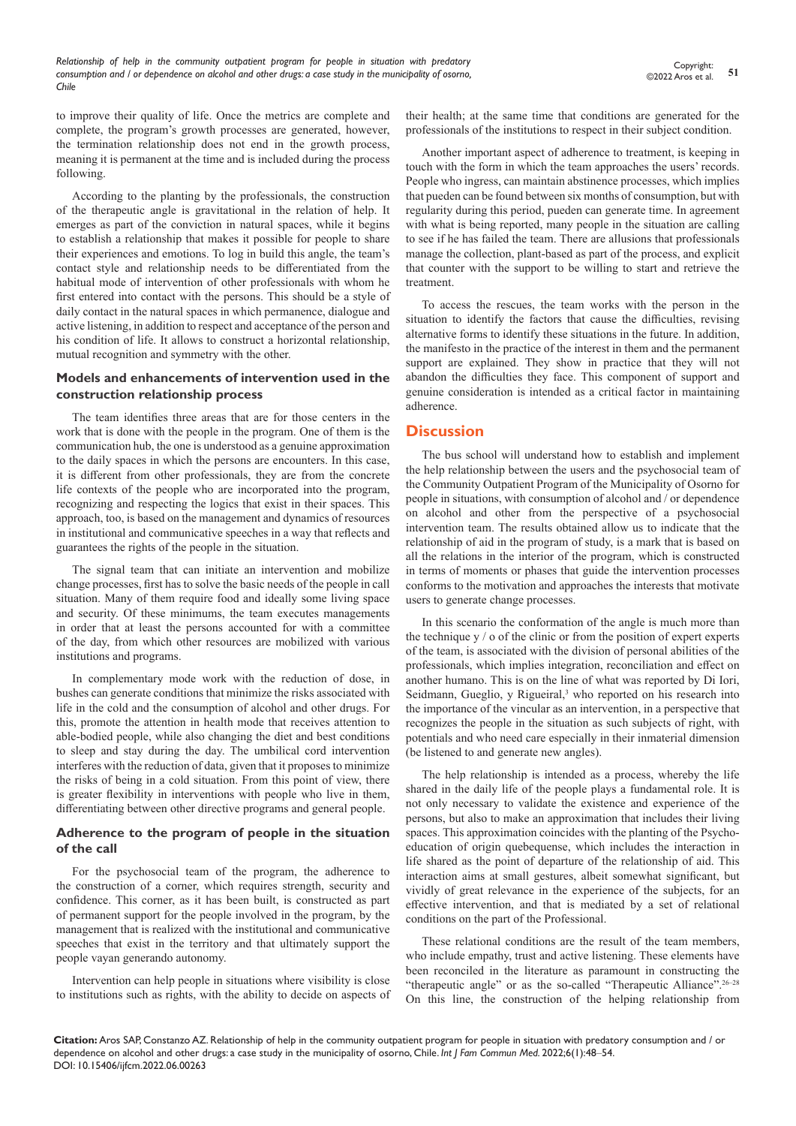to improve their quality of life. Once the metrics are complete and complete, the program's growth processes are generated, however, the termination relationship does not end in the growth process, meaning it is permanent at the time and is included during the process following.

According to the planting by the professionals, the construction of the therapeutic angle is gravitational in the relation of help. It emerges as part of the conviction in natural spaces, while it begins to establish a relationship that makes it possible for people to share their experiences and emotions. To log in build this angle, the team's contact style and relationship needs to be differentiated from the habitual mode of intervention of other professionals with whom he first entered into contact with the persons. This should be a style of daily contact in the natural spaces in which permanence, dialogue and active listening, in addition to respect and acceptance of the person and his condition of life. It allows to construct a horizontal relationship, mutual recognition and symmetry with the other.

#### **Models and enhancements of intervention used in the construction relationship process**

The team identifies three areas that are for those centers in the work that is done with the people in the program. One of them is the communication hub, the one is understood as a genuine approximation to the daily spaces in which the persons are encounters. In this case, it is different from other professionals, they are from the concrete life contexts of the people who are incorporated into the program, recognizing and respecting the logics that exist in their spaces. This approach, too, is based on the management and dynamics of resources in institutional and communicative speeches in a way that reflects and guarantees the rights of the people in the situation.

The signal team that can initiate an intervention and mobilize change processes, first has to solve the basic needs of the people in call situation. Many of them require food and ideally some living space and security. Of these minimums, the team executes managements in order that at least the persons accounted for with a committee of the day, from which other resources are mobilized with various institutions and programs.

In complementary mode work with the reduction of dose, in bushes can generate conditions that minimize the risks associated with life in the cold and the consumption of alcohol and other drugs. For this, promote the attention in health mode that receives attention to able-bodied people, while also changing the diet and best conditions to sleep and stay during the day. The umbilical cord intervention interferes with the reduction of data, given that it proposes to minimize the risks of being in a cold situation. From this point of view, there is greater flexibility in interventions with people who live in them, differentiating between other directive programs and general people.

# **Adherence to the program of people in the situation of the call**

For the psychosocial team of the program, the adherence to the construction of a corner, which requires strength, security and confidence. This corner, as it has been built, is constructed as part of permanent support for the people involved in the program, by the management that is realized with the institutional and communicative speeches that exist in the territory and that ultimately support the people vayan generando autonomy.

Intervention can help people in situations where visibility is close to institutions such as rights, with the ability to decide on aspects of their health; at the same time that conditions are generated for the professionals of the institutions to respect in their subject condition.

Another important aspect of adherence to treatment, is keeping in touch with the form in which the team approaches the users' records. People who ingress, can maintain abstinence processes, which implies that pueden can be found between six months of consumption, but with regularity during this period, pueden can generate time. In agreement with what is being reported, many people in the situation are calling to see if he has failed the team. There are allusions that professionals manage the collection, plant-based as part of the process, and explicit that counter with the support to be willing to start and retrieve the treatment.

To access the rescues, the team works with the person in the situation to identify the factors that cause the difficulties, revising alternative forms to identify these situations in the future. In addition, the manifesto in the practice of the interest in them and the permanent support are explained. They show in practice that they will not abandon the difficulties they face. This component of support and genuine consideration is intended as a critical factor in maintaining adherence.

# **Discussion**

The bus school will understand how to establish and implement the help relationship between the users and the psychosocial team of the Community Outpatient Program of the Municipality of Osorno for people in situations, with consumption of alcohol and / or dependence on alcohol and other from the perspective of a psychosocial intervention team. The results obtained allow us to indicate that the relationship of aid in the program of study, is a mark that is based on all the relations in the interior of the program, which is constructed in terms of moments or phases that guide the intervention processes conforms to the motivation and approaches the interests that motivate users to generate change processes.

In this scenario the conformation of the angle is much more than the technique  $y / o$  of the clinic or from the position of expert experts of the team, is associated with the division of personal abilities of the professionals, which implies integration, reconciliation and effect on another humano. This is on the line of what was reported by Di Iori, Seidmann, Gueglio, y Rigueiral,<sup>3</sup> who reported on his research into the importance of the vincular as an intervention, in a perspective that recognizes the people in the situation as such subjects of right, with potentials and who need care especially in their inmaterial dimension (be listened to and generate new angles).

The help relationship is intended as a process, whereby the life shared in the daily life of the people plays a fundamental role. It is not only necessary to validate the existence and experience of the persons, but also to make an approximation that includes their living spaces. This approximation coincides with the planting of the Psychoeducation of origin quebequense, which includes the interaction in life shared as the point of departure of the relationship of aid. This interaction aims at small gestures, albeit somewhat significant, but vividly of great relevance in the experience of the subjects, for an effective intervention, and that is mediated by a set of relational conditions on the part of the Professional.

These relational conditions are the result of the team members, who include empathy, trust and active listening. These elements have been reconciled in the literature as paramount in constructing the "therapeutic angle" or as the so-called "Therapeutic Alliance".<sup>26-28</sup> On this line, the construction of the helping relationship from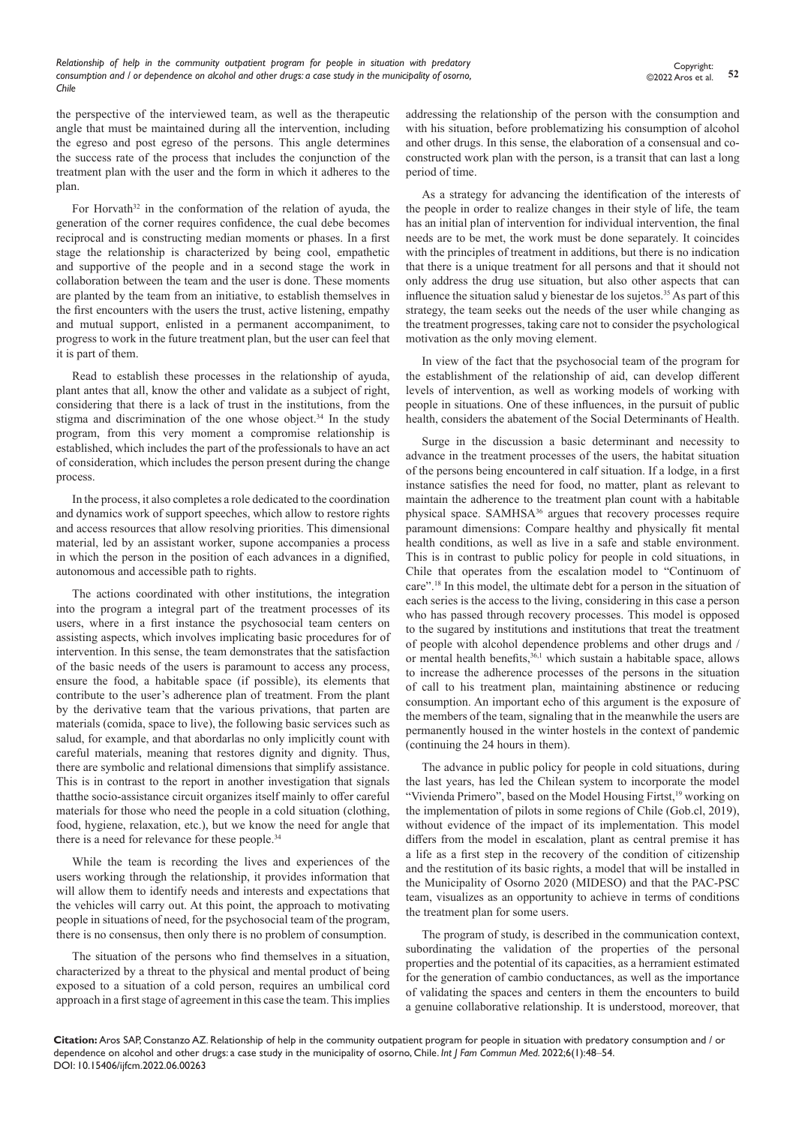the perspective of the interviewed team, as well as the therapeutic angle that must be maintained during all the intervention, including the egreso and post egreso of the persons. This angle determines the success rate of the process that includes the conjunction of the treatment plan with the user and the form in which it adheres to the plan.

For Horvath $32$  in the conformation of the relation of ayuda, the generation of the corner requires confidence, the cual debe becomes reciprocal and is constructing median moments or phases. In a first stage the relationship is characterized by being cool, empathetic and supportive of the people and in a second stage the work in collaboration between the team and the user is done. These moments are planted by the team from an initiative, to establish themselves in the first encounters with the users the trust, active listening, empathy and mutual support, enlisted in a permanent accompaniment, to progress to work in the future treatment plan, but the user can feel that it is part of them.

Read to establish these processes in the relationship of ayuda, plant antes that all, know the other and validate as a subject of right, considering that there is a lack of trust in the institutions, from the stigma and discrimination of the one whose object.<sup>34</sup> In the study program, from this very moment a compromise relationship is established, which includes the part of the professionals to have an act of consideration, which includes the person present during the change process.

In the process, it also completes a role dedicated to the coordination and dynamics work of support speeches, which allow to restore rights and access resources that allow resolving priorities. This dimensional material, led by an assistant worker, supone accompanies a process in which the person in the position of each advances in a dignified, autonomous and accessible path to rights.

The actions coordinated with other institutions, the integration into the program a integral part of the treatment processes of its users, where in a first instance the psychosocial team centers on assisting aspects, which involves implicating basic procedures for of intervention. In this sense, the team demonstrates that the satisfaction of the basic needs of the users is paramount to access any process, ensure the food, a habitable space (if possible), its elements that contribute to the user's adherence plan of treatment. From the plant by the derivative team that the various privations, that parten are materials (comida, space to live), the following basic services such as salud, for example, and that abordarlas no only implicitly count with careful materials, meaning that restores dignity and dignity. Thus, there are symbolic and relational dimensions that simplify assistance. This is in contrast to the report in another investigation that signals thatthe socio-assistance circuit organizes itself mainly to offer careful materials for those who need the people in a cold situation (clothing, food, hygiene, relaxation, etc.), but we know the need for angle that there is a need for relevance for these people.34

While the team is recording the lives and experiences of the users working through the relationship, it provides information that will allow them to identify needs and interests and expectations that the vehicles will carry out. At this point, the approach to motivating people in situations of need, for the psychosocial team of the program, there is no consensus, then only there is no problem of consumption.

The situation of the persons who find themselves in a situation, characterized by a threat to the physical and mental product of being exposed to a situation of a cold person, requires an umbilical cord approach in a first stage of agreement in this case the team. This implies

addressing the relationship of the person with the consumption and with his situation, before problematizing his consumption of alcohol and other drugs. In this sense, the elaboration of a consensual and coconstructed work plan with the person, is a transit that can last a long period of time.

As a strategy for advancing the identification of the interests of the people in order to realize changes in their style of life, the team has an initial plan of intervention for individual intervention, the final needs are to be met, the work must be done separately. It coincides with the principles of treatment in additions, but there is no indication that there is a unique treatment for all persons and that it should not only address the drug use situation, but also other aspects that can influence the situation salud y bienestar de los sujetos.<sup>35</sup> As part of this strategy, the team seeks out the needs of the user while changing as the treatment progresses, taking care not to consider the psychological motivation as the only moving element.

In view of the fact that the psychosocial team of the program for the establishment of the relationship of aid, can develop different levels of intervention, as well as working models of working with people in situations. One of these influences, in the pursuit of public health, considers the abatement of the Social Determinants of Health.

Surge in the discussion a basic determinant and necessity to advance in the treatment processes of the users, the habitat situation of the persons being encountered in calf situation. If a lodge, in a first instance satisfies the need for food, no matter, plant as relevant to maintain the adherence to the treatment plan count with a habitable physical space. SAMHSA36 argues that recovery processes require paramount dimensions: Compare healthy and physically fit mental health conditions, as well as live in a safe and stable environment. This is in contrast to public policy for people in cold situations, in Chile that operates from the escalation model to "Continuom of care".18 In this model, the ultimate debt for a person in the situation of each series is the access to the living, considering in this case a person who has passed through recovery processes. This model is opposed to the sugared by institutions and institutions that treat the treatment of people with alcohol dependence problems and other drugs and / or mental health benefits,<sup>36,1</sup> which sustain a habitable space, allows to increase the adherence processes of the persons in the situation of call to his treatment plan, maintaining abstinence or reducing consumption. An important echo of this argument is the exposure of the members of the team, signaling that in the meanwhile the users are permanently housed in the winter hostels in the context of pandemic (continuing the 24 hours in them).

The advance in public policy for people in cold situations, during the last years, has led the Chilean system to incorporate the model "Vivienda Primero", based on the Model Housing Firtst,<sup>19</sup> working on the implementation of pilots in some regions of Chile (Gob.cl, 2019), without evidence of the impact of its implementation. This model differs from the model in escalation, plant as central premise it has a life as a first step in the recovery of the condition of citizenship and the restitution of its basic rights, a model that will be installed in the Municipality of Osorno 2020 (MIDESO) and that the PAC-PSC team, visualizes as an opportunity to achieve in terms of conditions the treatment plan for some users.

The program of study, is described in the communication context, subordinating the validation of the properties of the personal properties and the potential of its capacities, as a herramient estimated for the generation of cambio conductances, as well as the importance of validating the spaces and centers in them the encounters to build a genuine collaborative relationship. It is understood, moreover, that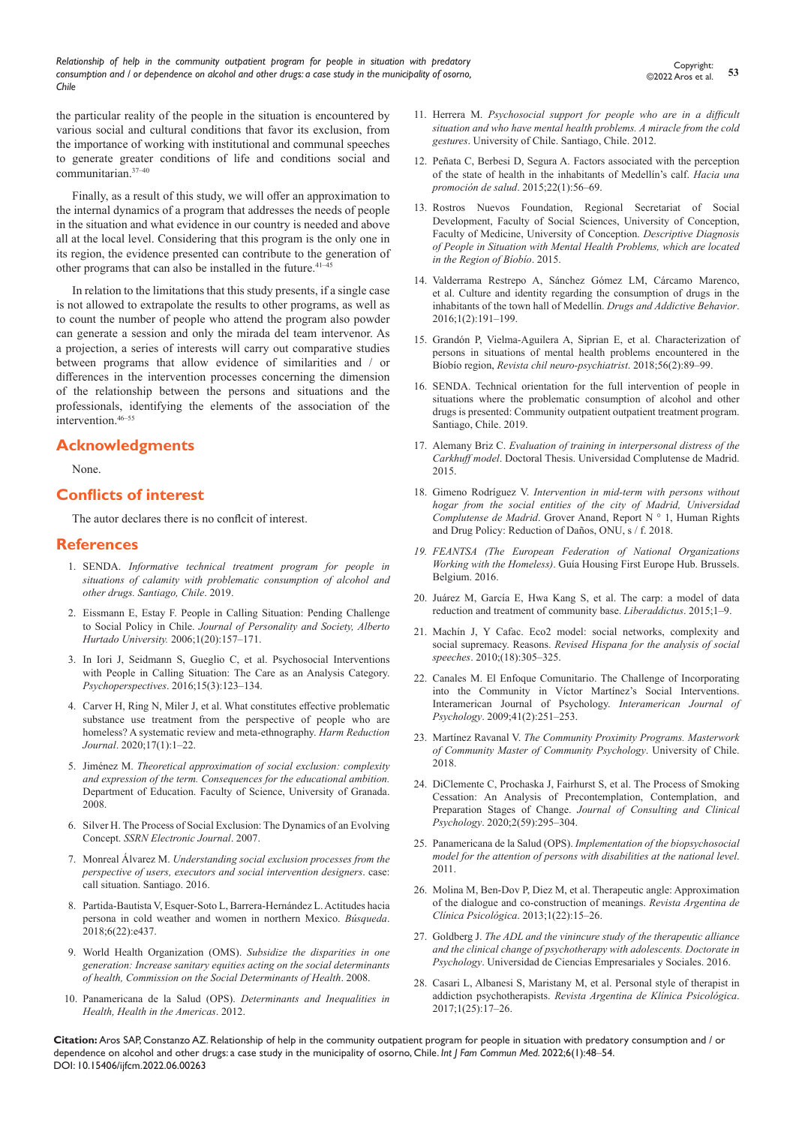*Relationship of help in the community outpatient program for people in situation with predatory consumption and / or dependence on alcohol and other drugs: a case study in the municipality of osorno, Chile*

the particular reality of the people in the situation is encountered by various social and cultural conditions that favor its exclusion, from the importance of working with institutional and communal speeches to generate greater conditions of life and conditions social and communitarian.37–40

Finally, as a result of this study, we will offer an approximation to the internal dynamics of a program that addresses the needs of people in the situation and what evidence in our country is needed and above all at the local level. Considering that this program is the only one in its region, the evidence presented can contribute to the generation of other programs that can also be installed in the future.<sup>41-45</sup>

In relation to the limitations that this study presents, if a single case is not allowed to extrapolate the results to other programs, as well as to count the number of people who attend the program also powder can generate a session and only the mirada del team intervenor. As a projection, a series of interests will carry out comparative studies between programs that allow evidence of similarities and / or differences in the intervention processes concerning the dimension of the relationship between the persons and situations and the professionals, identifying the elements of the association of the intervention.46–55

# **Acknowledgments**

None.

# **Conflicts of interest**

The autor declares there is no conflcit of interest.

## **References**

- 1. SENDA. *Informative technical treatment program for people in situations of calamity with problematic consumption of alcohol and other drugs. Santiago, Chile*. 2019.
- 2. [Eissmann E, Estay F. People in Calling Situation: Pending Challenge](http://movilizachile.org/wp-content/uploads/2020/10/Persona-y-Sociedad.Estay-Eissmann_2006.pdf)  to Social Policy in Chile. *[Journal of Personality and Society, Alberto](http://movilizachile.org/wp-content/uploads/2020/10/Persona-y-Sociedad.Estay-Eissmann_2006.pdf)  Hurtado University.* [2006;1\(20\):157–171.](http://movilizachile.org/wp-content/uploads/2020/10/Persona-y-Sociedad.Estay-Eissmann_2006.pdf)
- 3. [In Iori J, Seidmann S, Gueglio C, et al. Psychosocial Interventions](https://dx.doi.org/10.5027/psicoperspectivas-Vol15-Issue3-fulltext-838)  [with People in Calling Situation: The Care as an Analysis Category.](https://dx.doi.org/10.5027/psicoperspectivas-Vol15-Issue3-fulltext-838)  *Psychoperspectives*[. 2016;15\(3\):123–134.](https://dx.doi.org/10.5027/psicoperspectivas-Vol15-Issue3-fulltext-838)
- 4. [Carver H, Ring N, Miler J, et al. What constitutes effective problematic](https://harmreductionjournal.biomedcentral.com/articles/10.1186/s12954-020-0356-9)  [substance use treatment from the perspective of people who are](https://harmreductionjournal.biomedcentral.com/articles/10.1186/s12954-020-0356-9)  [homeless? A systematic review and meta-ethnography.](https://harmreductionjournal.biomedcentral.com/articles/10.1186/s12954-020-0356-9) *Harm Reduction Journal*[. 2020;17\(1\):1–22.](https://harmreductionjournal.biomedcentral.com/articles/10.1186/s12954-020-0356-9)
- 5. Jiménez M. *Theoretical approximation of social exclusion: complexity and expression of the term. Consequences for the educational ambition.* Department of Education. Faculty of Science, University of Granada. 2008.
- 6. [Silver H. The Process of Social Exclusion: The Dynamics of an Evolving](https://gsdrc.org/document-library/the-process-of-social-exclusion-the-dynamics-of-an-evolving-concept/)  Concept. *[SSRN Electronic Journal](https://gsdrc.org/document-library/the-process-of-social-exclusion-the-dynamics-of-an-evolving-concept/)*. 2007.
- 7. Monreal Álvarez M. *Understanding social exclusion processes from the perspective of users, executors and social intervention designers*. case: call situation. Santiago. 2016.
- 8. [Partida-Bautista V, Esquer-Soto L, Barrera-Hernández L. Actitudes hacia](https://revistas.cecar.edu.co/index.php/Busqueda/article/view/437/448)  [persona in cold weather and women in northern Mexico.](https://revistas.cecar.edu.co/index.php/Busqueda/article/view/437/448) *Búsqueda*. [2018;6\(22\):e437.](https://revistas.cecar.edu.co/index.php/Busqueda/article/view/437/448)
- 9. World Health Organization (OMS). *Subsidize the disparities in one generation: Increase sanitary equities acting on the social determinants of health, Commission on the Social Determinants of Health*. 2008.
- 10. Panamericana de la Salud (OPS). *Determinants and Inequalities in Health, Health in the Americas*. 2012.
- 11. Herrera M. *Psychosocial support for people who are in a difficult situation and who have mental health problems. A miracle from the cold gestures*. University of Chile. Santiago, Chile. 2012.
- 12. [Peñata C, Berbesi D, Segura A. Factors associated with the perception](https://repositorio.ucaldas.edu.co/handle/ucaldas/16158)  [of the state of health in the inhabitants of Medellín's calf.](https://repositorio.ucaldas.edu.co/handle/ucaldas/16158) *Hacia una promoción de salud*[. 2015;22\(1\):56–69.](https://repositorio.ucaldas.edu.co/handle/ucaldas/16158)
- 13. Rostros Nuevos Foundation, Regional Secretariat of Social Development, Faculty of Social Sciences, University of Conception, Faculty of Medicine, University of Conception. *Descriptive Diagnosis of People in Situation with Mental Health Problems, which are located in the Region of Bíobío*. 2015.
- 14. [Valderrama Restrepo A, Sánchez Gómez LM, Cárcamo Marenco,](https://doaj.org/article/a4591846f41242cbb1a9c0f7eec1893b)  [et al. Culture and identity regarding the consumption of drugs in the](https://doaj.org/article/a4591846f41242cbb1a9c0f7eec1893b)  [inhabitants of the town hall of Medellín.](https://doaj.org/article/a4591846f41242cbb1a9c0f7eec1893b) *Drugs and Addictive Behavior*. [2016;1\(2\):191–199.](https://doaj.org/article/a4591846f41242cbb1a9c0f7eec1893b)
- 15. [Grandón P, Vielma-Aguilera A, Siprian E, et al. Characterization of](https://www.scielo.cl/scielo.php?script=sci_arttext&pid=S0717-92272018000200089)  [persons in situations of mental health problems encountered in the](https://www.scielo.cl/scielo.php?script=sci_arttext&pid=S0717-92272018000200089)  Bíobío region, *[Revista chil neuro-psychiatrist](https://www.scielo.cl/scielo.php?script=sci_arttext&pid=S0717-92272018000200089)*. 2018;56(2):89–99.
- 16. SENDA. Technical orientation for the full intervention of people in situations where the problematic consumption of alcohol and other drugs is presented: Community outpatient outpatient treatment program. Santiago, Chile. 2019.
- 17. Alemany Briz C. *[Evaluation of training in interpersonal distress of the](https://eprints.ucm.es/id/eprint/53081/)  Carkhuff model*[. Doctoral Thesis. Universidad Complutense de Madrid.](https://eprints.ucm.es/id/eprint/53081/)  [2015.](https://eprints.ucm.es/id/eprint/53081/)
- 18. Gimeno Rodríguez V. *Intervention in mid-term with persons without hogar from the social entities of the city of Madrid, Universidad Complutense de Madrid*. Grover Anand, Report N ° 1, Human Rights and Drug Policy: Reduction of Daños, ONU, s / f. 2018.
- *19. [FEANTSA \(The European Federation of National Organizations](https://www.feantsa.org/en)  Working with the Homeless)*[. Guía Housing First Europe Hub. Brussels.](https://www.feantsa.org/en)  [Belgium. 2016.](https://www.feantsa.org/en)
- 20. [Juárez M, García E, Hwa Kang S, et al. The carp: a model of data](https://dialnet.unirioja.es/servlet/articulo?codigo=1985357)  [reduction and treatment of community base.](https://dialnet.unirioja.es/servlet/articulo?codigo=1985357) *Liberaddictus*. 2015;1–9.
- 21. [Machín J, Y Cafac. Eco2 model: social networks, complexity and](https://revistes.uab.cat/redes/article/view/v18-n1-machin)  social supremacy. Reasons. *[Revised Hispana for the analysis of social](https://revistes.uab.cat/redes/article/view/v18-n1-machin)  speeches*[. 2010;\(18\):305–325.](https://revistes.uab.cat/redes/article/view/v18-n1-machin)
- 22. [Canales M. El Enfoque Comunitario. The Challenge of Incorporating](https://www.redalyc.org/articulo.oa?id=28441216)  [into the Community in Víctor Martínez's Social Interventions.](https://www.redalyc.org/articulo.oa?id=28441216)  [Interamerican Journal of Psychology.](https://www.redalyc.org/articulo.oa?id=28441216) *Interamerican Journal of Psychology*[. 2009;41\(2\):251–253.](https://www.redalyc.org/articulo.oa?id=28441216)
- 23. Martínez Ravanal V. *The Community Proximity Programs. Masterwork of Community Master of Community Psychology*. University of Chile. 2018.
- 24. [DiClemente C, Prochaska J, Fairhurst S, et al. The Process of Smoking](https://pubmed.ncbi.nlm.nih.gov/2030191/)  [Cessation: An Analysis of Precontemplation, Contemplation, and](https://pubmed.ncbi.nlm.nih.gov/2030191/)  Preparation Stages of Change. *[Journal of Consulting and Clinical](https://pubmed.ncbi.nlm.nih.gov/2030191/)  Psychology*[. 2020;2\(59\):295–304.](https://pubmed.ncbi.nlm.nih.gov/2030191/)
- 25. Panamericana de la Salud (OPS). *Implementation of the biopsychosocial model for the attention of persons with disabilities at the national level*. 2011.
- 26. [Molina M, Ben-Dov P, Diez M, et al. Therapeutic angle: Approximation](https://www.redalyc.org/articulo.oa?id=2819/281930494003)  [of the dialogue and co-construction of meanings.](https://www.redalyc.org/articulo.oa?id=2819/281930494003) *Revista Argentina de Clínica Psicológica*[. 2013;1\(22\):15–26.](https://www.redalyc.org/articulo.oa?id=2819/281930494003)
- 27. Goldberg J. *[The ADL and the vinincure study of the therapeutic alliance](http://dspace.uces.edu.ar:8180/xmlui/handle/123456789/3702)  [and the clinical change of psychotherapy with adolescents. Doctorate in](http://dspace.uces.edu.ar:8180/xmlui/handle/123456789/3702)  Psychology*[. Universidad de Ciencias Empresariales y Sociales. 2016.](http://dspace.uces.edu.ar:8180/xmlui/handle/123456789/3702)
- 28. [Casari L, Albanesi S, Maristany M, et al. Personal style of therapist in](https://www.redalyc.org/pdf/2819/281946989003.pdf)  addiction psychotherapists. *[Revista Argentina de Klínica](https://www.redalyc.org/pdf/2819/281946989003.pdf) Psicológica*. [2017;1\(25\):17–26.](https://www.redalyc.org/pdf/2819/281946989003.pdf)